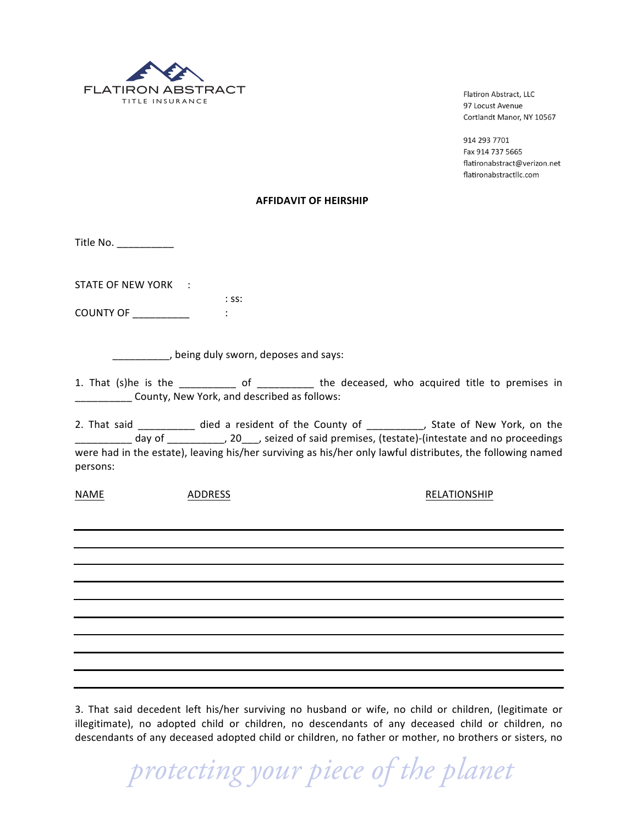

Flatiron Abstract, LLC 97 Locust Avenue Cortlandt Manor, NY 10567

914 293 7701 Fax 914 737 5665 flatironabstract@verizon.net flatironabstractllc.com

## !!!!!!!!!!!!!!!!!!!!!!!!!!!!!!!!!!!!!!!!!!**AFFIDAVIT'OF'HEIRSHIP**

Title!No.!\_\_\_\_\_\_\_\_\_\_

STATE OF NEW YORK :

: ss: COUNTY!OF!\_\_\_\_\_\_\_\_\_\_ :

\_\_\_\_\_\_\_\_\_\_, being duly sworn, deposes and says:

1. That (s)he is the  $\frac{1}{\sqrt{1-\frac{1}{\sqrt{1-\frac{1}{\sqrt{1-\frac{1}{\sqrt{1-\frac{1}{\sqrt{1-\frac{1}{\sqrt{1-\frac{1}{\sqrt{1-\frac{1}{\sqrt{1-\frac{1}{\sqrt{1-\frac{1}{\sqrt{1-\frac{1}{\sqrt{1-\frac{1}{\sqrt{1-\frac{1}{\sqrt{1-\frac{1}{\sqrt{1-\frac{1}{\sqrt{1-\frac{1}{\sqrt{1-\frac{1}{\sqrt{1-\frac{1}{\sqrt{1-\frac{1}{\sqrt{1-\frac{1}{\sqrt{1-\frac{1}{\sqrt{1-\frac{1}{\sqrt{1-\$ County, New York, and described as follows:

2. That said \_\_\_\_\_\_\_\_\_\_\_ died a resident of the County of \_\_\_\_\_\_\_\_\_, State of New York, on the day of \_\_\_\_\_\_\_\_\_\_, 20\_\_\_, seized of said premises, (testate)-(intestate and no proceedings were had in the estate), leaving his/her surviving as his/her only lawful distributes, the following named persons:

NAME ADDRESS !!!!!RELATIONSHIP

3. That said decedent left his/her surviving no husband or wife, no child or children, (legitimate or illegitimate), no adopted child or children, no descendants of any deceased child or children, no descendants of any deceased adopted child or children, no father or mother, no brothers or sisters, no

 *protecting your piece of the planet*